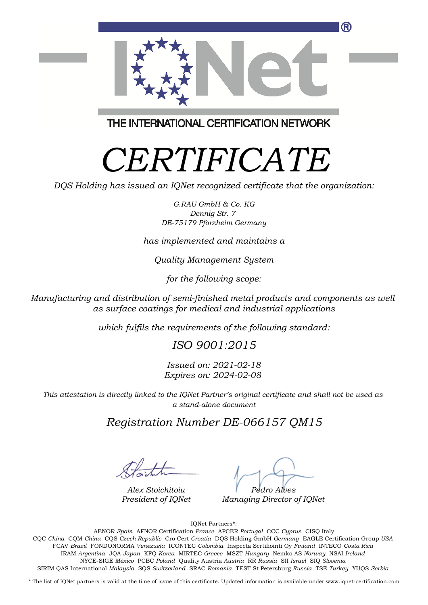

THE INTERNATIONAL CERTIFICATION NETWORK

# *CERTIFICATE*

*DQS Holding has issued an IQNet recognized certificate that the organization:*

*G.RAU GmbH & Co. KG Dennig-Str. 7 DE-75179 Pforzheim Germany*

*has implemented and maintains a*

*Quality Management System*

*for the following scope:*

*Manufacturing and distribution of semi-finished metal products and components as well as surface coatings for medical and industrial applications*

*which fulfils the requirements of the following standard:*

## *ISO 9001:2015*

*Issued on: 2021-02-18 Expires on: 2024-02-08*

*This attestation is directly linked to the IQNet Partner's original certificate and shall not be used as a stand-alone document*

## *Registration Number DE-066157 QM15*

*Alex Stoichitoiu President of IQNet*

*Pedro Alves*

*Managing Director of IQNet*

IQNet Partners\*:

This annex is only valid in connection with the above-mentioned certificate. FCAV *Brazil* FONDONORMA *Venezuela* ICONTEC *Colombia* Inspecta Sertifiointi Oy *Finland* INTECO *Costa Rica* AENOR *Spain* AFNOR Certification *France* APCER *Portugal* CCC *Cyprus* CISQ Italy CQC *China* CQM *China* CQS *Czech Republic* Cro Cert *Croatia* DQS Holding GmbH *Germany* EAGLE Certification Group *USA* IRAM *Argentina* JQA *Japan* KFQ *Korea* MIRTEC *Greece* MSZT *Hungary* Nemko AS *Norway* NSAI *Ireland* NYCE-SIGE *México* PCBC *Poland* Quality Austria *Austria* RR *Russia* SII *Israel* SIQ *Slovenia* SIRIM QAS International *Malaysia* SQS *Switzerland* SRAC *Romania* TEST St Petersburg *Russia* TSE *Turkey* YUQS *Serbia*

\* The list of IQNet partners is valid at the time of issue of this certificate. Updated information is available under www.iqnet-certification.com